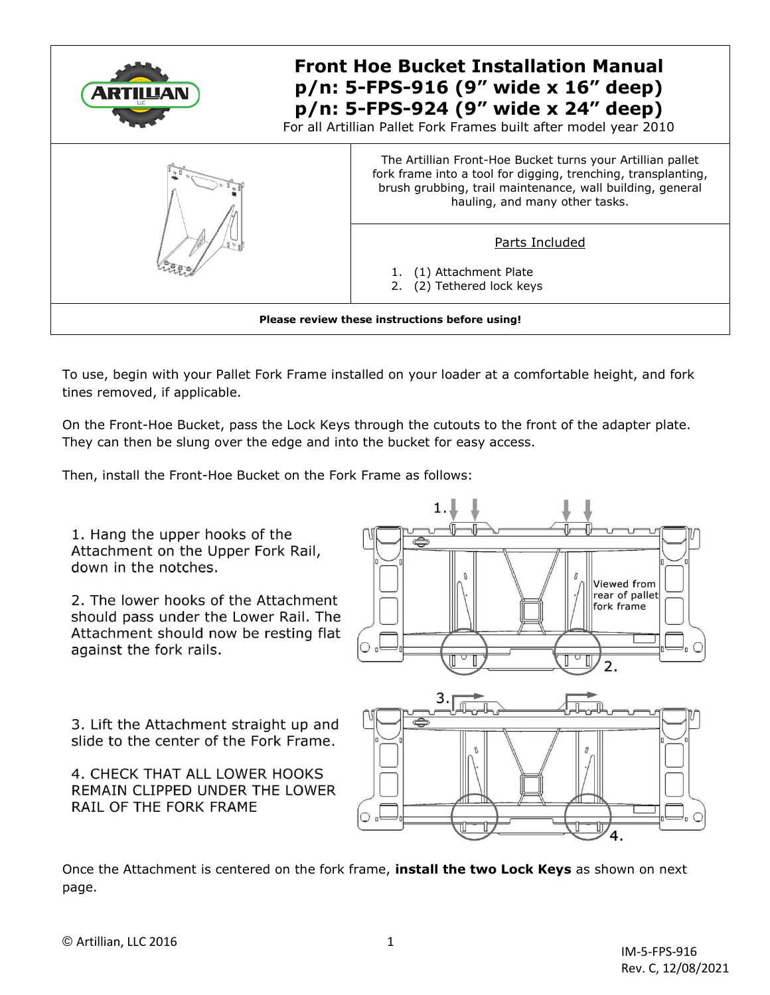

To use, begin with your Pallet Fork Frame installed on your loader at a comfortable height, and fork tines removed, if applicable.

On the Front-Hoe Bucket, pass the Lock Keys through the cutouts to the front of the adapter plate. They can then be slung over the edge and into the bucket for easy access.

Then, install the Front-Hoe Bucket on the Fork Frame as follows:

1. Hang the upper hooks of the Attachment on the Upper Fork Rail, down in the notches.

2. The lower hooks of the Attachment should pass under the Lower Rail. The Attachment should now be resting flat against the fork rails.

3. Lift the Attachment straight up and slide to the center of the Fork Frame.

4. CHECK THAT ALL LOWER HOOKS REMAIN CLIPPED UNDER THE LOWER RAIL OF THE FORK FRAME





Once the Attachment is centered on the fork frame, **install the two Lock Keys** as shown on next page.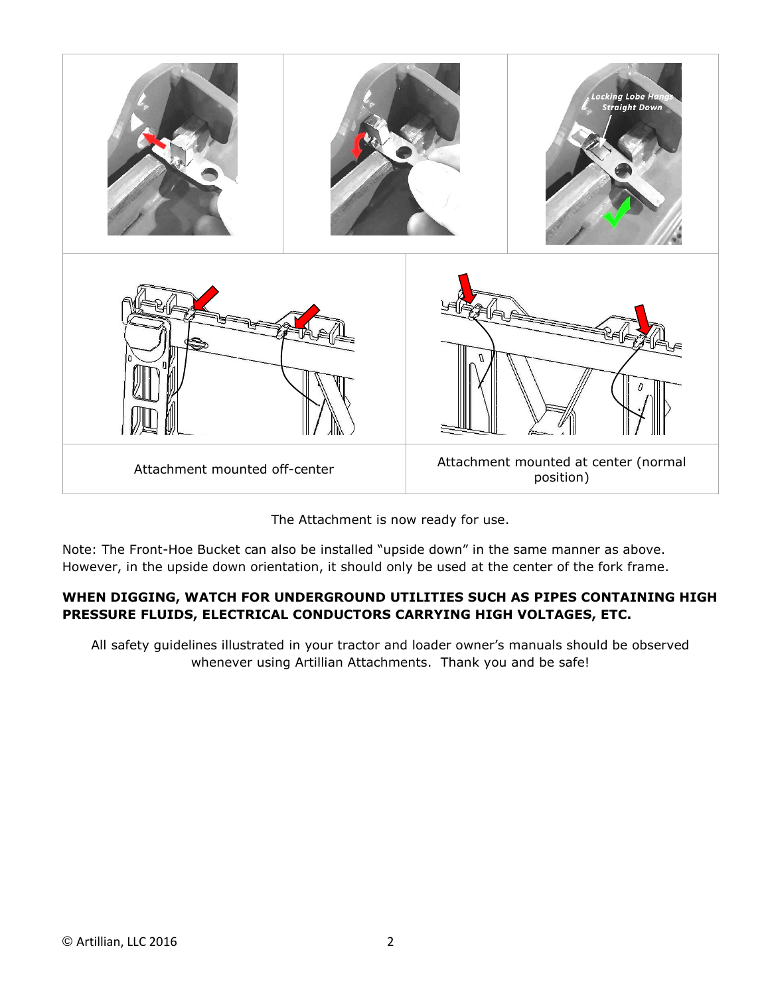



Note: The Front-Hoe Bucket can also be installed "upside down" in the same manner as above. However, in the upside down orientation, it should only be used at the center of the fork frame.

## **WHEN DIGGING, WATCH FOR UNDERGROUND UTILITIES SUCH AS PIPES CONTAINING HIGH PRESSURE FLUIDS, ELECTRICAL CONDUCTORS CARRYING HIGH VOLTAGES, ETC.**

All safety guidelines illustrated in your tractor and loader owner's manuals should be observed whenever using Artillian Attachments. Thank you and be safe!